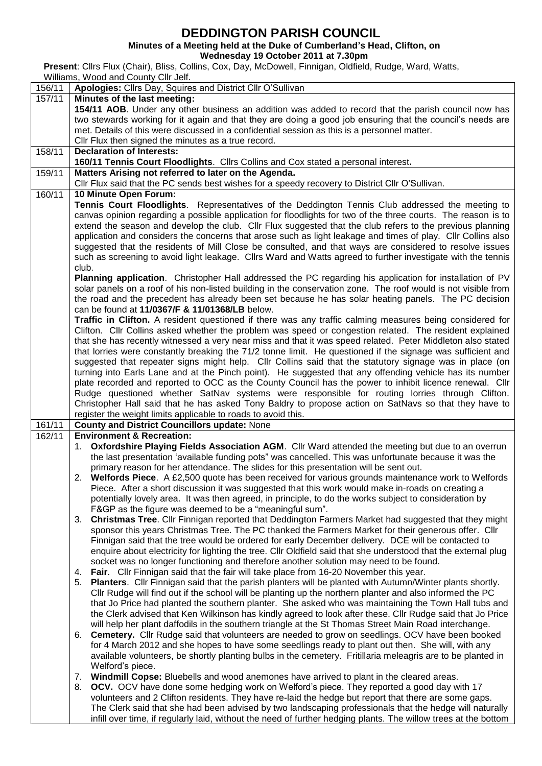## **DEDDINGTON PARISH COUNCIL**

**Minutes of a Meeting held at the Duke of Cumberland's Head, Clifton, on**

**Wednesday 19 October 2011 at 7.30pm**

**Present**: Cllrs Flux (Chair), Bliss, Collins, Cox, Day, McDowell, Finnigan, Oldfield, Rudge, Ward, Watts, Williams, Wood and County Cllr Jelf.

| 156/11 | Apologies: Cllrs Day, Squires and District Cllr O'Sullivan                                                                                                                                                             |  |  |  |  |  |
|--------|------------------------------------------------------------------------------------------------------------------------------------------------------------------------------------------------------------------------|--|--|--|--|--|
| 157/11 | Minutes of the last meeting:                                                                                                                                                                                           |  |  |  |  |  |
|        | 154/11 AOB. Under any other business an addition was added to record that the parish council now has                                                                                                                   |  |  |  |  |  |
|        | two stewards working for it again and that they are doing a good job ensuring that the council's needs are                                                                                                             |  |  |  |  |  |
|        | met. Details of this were discussed in a confidential session as this is a personnel matter.                                                                                                                           |  |  |  |  |  |
|        | Cllr Flux then signed the minutes as a true record.                                                                                                                                                                    |  |  |  |  |  |
| 158/11 | <b>Declaration of Interests:</b><br>160/11 Tennis Court Floodlights. Cllrs Collins and Cox stated a personal interest.                                                                                                 |  |  |  |  |  |
| 159/11 | Matters Arising not referred to later on the Agenda.                                                                                                                                                                   |  |  |  |  |  |
|        | Cllr Flux said that the PC sends best wishes for a speedy recovery to District Cllr O'Sullivan.                                                                                                                        |  |  |  |  |  |
| 160/11 | 10 Minute Open Forum:                                                                                                                                                                                                  |  |  |  |  |  |
|        | Tennis Court Floodlights. Representatives of the Deddington Tennis Club addressed the meeting to                                                                                                                       |  |  |  |  |  |
|        | canvas opinion regarding a possible application for floodlights for two of the three courts. The reason is to                                                                                                          |  |  |  |  |  |
|        | extend the season and develop the club. Cllr Flux suggested that the club refers to the previous planning                                                                                                              |  |  |  |  |  |
|        | application and considers the concerns that arose such as light leakage and times of play. Cllr Collins also                                                                                                           |  |  |  |  |  |
|        | suggested that the residents of Mill Close be consulted, and that ways are considered to resolve issues                                                                                                                |  |  |  |  |  |
|        | such as screening to avoid light leakage. Cllrs Ward and Watts agreed to further investigate with the tennis                                                                                                           |  |  |  |  |  |
|        | club.                                                                                                                                                                                                                  |  |  |  |  |  |
|        | Planning application. Christopher Hall addressed the PC regarding his application for installation of PV                                                                                                               |  |  |  |  |  |
|        | solar panels on a roof of his non-listed building in the conservation zone. The roof would is not visible from<br>the road and the precedent has already been set because he has solar heating panels. The PC decision |  |  |  |  |  |
|        | can be found at 11/0367/F & 11/01368/LB below.                                                                                                                                                                         |  |  |  |  |  |
|        | Traffic in Clifton. A resident questioned if there was any traffic calming measures being considered for                                                                                                               |  |  |  |  |  |
|        | Clifton. Cllr Collins asked whether the problem was speed or congestion related. The resident explained                                                                                                                |  |  |  |  |  |
|        | that she has recently witnessed a very near miss and that it was speed related. Peter Middleton also stated                                                                                                            |  |  |  |  |  |
|        | that lorries were constantly breaking the 71/2 tonne limit. He questioned if the signage was sufficient and                                                                                                            |  |  |  |  |  |
|        | suggested that repeater signs might help. Cllr Collins said that the statutory signage was in place (on                                                                                                                |  |  |  |  |  |
|        | turning into Earls Lane and at the Pinch point). He suggested that any offending vehicle has its number                                                                                                                |  |  |  |  |  |
|        | plate recorded and reported to OCC as the County Council has the power to inhibit licence renewal. Cllr                                                                                                                |  |  |  |  |  |
|        | Rudge questioned whether SatNav systems were responsible for routing lorries through Clifton.                                                                                                                          |  |  |  |  |  |
|        | Christopher Hall said that he has asked Tony Baldry to propose action on SatNavs so that they have to                                                                                                                  |  |  |  |  |  |
| 161/11 | register the weight limits applicable to roads to avoid this.<br><b>County and District Councillors update: None</b>                                                                                                   |  |  |  |  |  |
| 162/11 | <b>Environment &amp; Recreation:</b>                                                                                                                                                                                   |  |  |  |  |  |
|        | 1. Oxfordshire Playing Fields Association AGM. Cllr Ward attended the meeting but due to an overrun                                                                                                                    |  |  |  |  |  |
|        | the last presentation 'available funding pots" was cancelled. This was unfortunate because it was the                                                                                                                  |  |  |  |  |  |
|        | primary reason for her attendance. The slides for this presentation will be sent out.                                                                                                                                  |  |  |  |  |  |
|        | 2. Welfords Piece. A £2,500 quote has been received for various grounds maintenance work to Welfords                                                                                                                   |  |  |  |  |  |
|        | Piece. After a short discussion it was suggested that this work would make in-roads on creating a                                                                                                                      |  |  |  |  |  |
|        | potentially lovely area. It was then agreed, in principle, to do the works subject to consideration by                                                                                                                 |  |  |  |  |  |
|        | F&GP as the figure was deemed to be a "meaningful sum".                                                                                                                                                                |  |  |  |  |  |
|        | Christmas Tree. Cllr Finnigan reported that Deddington Farmers Market had suggested that they might<br>3.<br>sponsor this years Christmas Tree. The PC thanked the Farmers Market for their generous offer. Cllr       |  |  |  |  |  |
|        | Finnigan said that the tree would be ordered for early December delivery. DCE will be contacted to                                                                                                                     |  |  |  |  |  |
|        | enquire about electricity for lighting the tree. Cllr Oldfield said that she understood that the external plug                                                                                                         |  |  |  |  |  |
|        | socket was no longer functioning and therefore another solution may need to be found.                                                                                                                                  |  |  |  |  |  |
|        | <b>Fair.</b> Cllr Finnigan said that the fair will take place from 16-20 November this year.<br>4.                                                                                                                     |  |  |  |  |  |
|        | 5. Planters. Cllr Finnigan said that the parish planters will be planted with Autumn/Winter plants shortly.                                                                                                            |  |  |  |  |  |
|        | Cllr Rudge will find out if the school will be planting up the northern planter and also informed the PC                                                                                                               |  |  |  |  |  |
|        | that Jo Price had planted the southern planter. She asked who was maintaining the Town Hall tubs and                                                                                                                   |  |  |  |  |  |
|        | the Clerk advised that Ken Wilkinson has kindly agreed to look after these. Cllr Rudge said that Jo Price                                                                                                              |  |  |  |  |  |
|        | will help her plant daffodils in the southern triangle at the St Thomas Street Main Road interchange.                                                                                                                  |  |  |  |  |  |
|        | 6. Cemetery. Cllr Rudge said that volunteers are needed to grow on seedlings. OCV have been booked                                                                                                                     |  |  |  |  |  |
|        | for 4 March 2012 and she hopes to have some seedlings ready to plant out then. She will, with any<br>available volunteers, be shortly planting bulbs in the cemetery. Fritillaria meleagris are to be planted in       |  |  |  |  |  |
|        | Welford's piece.                                                                                                                                                                                                       |  |  |  |  |  |
|        | Windmill Copse: Bluebells and wood anemones have arrived to plant in the cleared areas.<br>7.                                                                                                                          |  |  |  |  |  |
|        | <b>OCV.</b> OCV have done some hedging work on Welford's piece. They reported a good day with 17<br>8.                                                                                                                 |  |  |  |  |  |
|        | volunteers and 2 Clifton residents. They have re-laid the hedge but report that there are some gaps.                                                                                                                   |  |  |  |  |  |
|        | The Clerk said that she had been advised by two landscaping professionals that the hedge will naturally                                                                                                                |  |  |  |  |  |
|        | infill over time, if regularly laid, without the need of further hedging plants. The willow trees at the bottom                                                                                                        |  |  |  |  |  |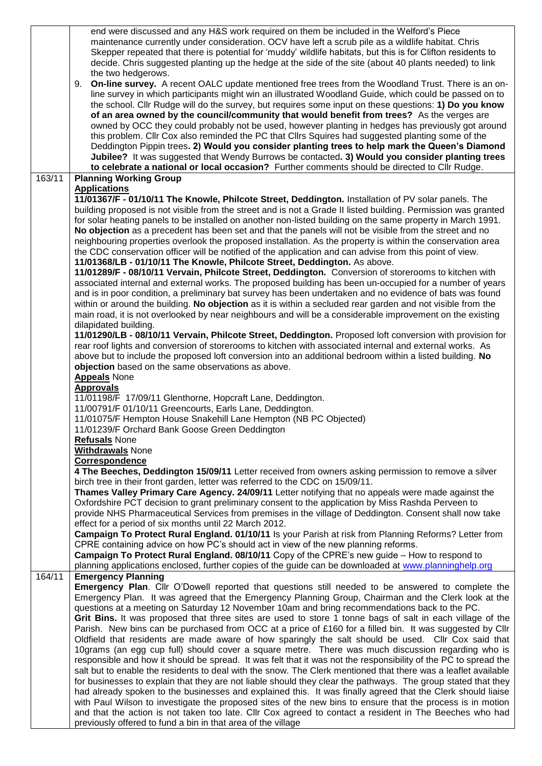|        | end were discussed and any H&S work required on them be included in the Welford's Piece<br>maintenance currently under consideration. OCV have left a scrub pile as a wildlife habitat. Chris<br>Skepper repeated that there is potential for 'muddy' wildlife habitats, but this is for Clifton residents to<br>decide. Chris suggested planting up the hedge at the side of the site (about 40 plants needed) to link<br>the two hedgerows.                                                                                                                                                                                                                                                                                                                                                                                                                                                                                                     |
|--------|---------------------------------------------------------------------------------------------------------------------------------------------------------------------------------------------------------------------------------------------------------------------------------------------------------------------------------------------------------------------------------------------------------------------------------------------------------------------------------------------------------------------------------------------------------------------------------------------------------------------------------------------------------------------------------------------------------------------------------------------------------------------------------------------------------------------------------------------------------------------------------------------------------------------------------------------------|
|        | <b>On-line survey.</b> A recent OALC update mentioned free trees from the Woodland Trust. There is an on-<br>9.<br>line survey in which participants might win an illustrated Woodland Guide, which could be passed on to<br>the school. Cllr Rudge will do the survey, but requires some input on these questions: 1) Do you know<br>of an area owned by the council/community that would benefit from trees? As the verges are<br>owned by OCC they could probably not be used, however planting in hedges has previously got around<br>this problem. Cllr Cox also reminded the PC that Cllrs Squires had suggested planting some of the<br>Deddington Pippin trees. 2) Would you consider planting trees to help mark the Queen's Diamond<br>Jubilee? It was suggested that Wendy Burrows be contacted. 3) Would you consider planting trees<br>to celebrate a national or local occasion? Further comments should be directed to Cllr Rudge. |
| 163/11 | <b>Planning Working Group</b>                                                                                                                                                                                                                                                                                                                                                                                                                                                                                                                                                                                                                                                                                                                                                                                                                                                                                                                     |
|        | <b>Applications</b><br>11/01367/F - 01/10/11 The Knowle, Philcote Street, Deddington. Installation of PV solar panels. The                                                                                                                                                                                                                                                                                                                                                                                                                                                                                                                                                                                                                                                                                                                                                                                                                        |
|        | building proposed is not visible from the street and is not a Grade II listed building. Permission was granted<br>for solar heating panels to be installed on another non-listed building on the same property in March 1991.<br>No objection as a precedent has been set and that the panels will not be visible from the street and no<br>neighbouring properties overlook the proposed installation. As the property is within the conservation area<br>the CDC conservation officer will be notified of the application and can advise from this point of view.<br>11/01368/LB - 01/10/11 The Knowle, Philcote Street, Deddington. As above.                                                                                                                                                                                                                                                                                                  |
|        | 11/01289/F - 08/10/11 Vervain, Philcote Street, Deddington. Conversion of storerooms to kitchen with<br>associated internal and external works. The proposed building has been un-occupied for a number of years<br>and is in poor condition, a preliminary bat survey has been undertaken and no evidence of bats was found<br>within or around the building. No objection as it is within a secluded rear garden and not visible from the                                                                                                                                                                                                                                                                                                                                                                                                                                                                                                       |
|        | main road, it is not overlooked by near neighbours and will be a considerable improvement on the existing                                                                                                                                                                                                                                                                                                                                                                                                                                                                                                                                                                                                                                                                                                                                                                                                                                         |
|        | dilapidated building.<br>11/01290/LB - 08/10/11 Vervain, Philcote Street, Deddington. Proposed loft conversion with provision for<br>rear roof lights and conversion of storerooms to kitchen with associated internal and external works. As                                                                                                                                                                                                                                                                                                                                                                                                                                                                                                                                                                                                                                                                                                     |
|        | above but to include the proposed loft conversion into an additional bedroom within a listed building. No                                                                                                                                                                                                                                                                                                                                                                                                                                                                                                                                                                                                                                                                                                                                                                                                                                         |
|        | objection based on the same observations as above.                                                                                                                                                                                                                                                                                                                                                                                                                                                                                                                                                                                                                                                                                                                                                                                                                                                                                                |
|        | <b>Appeals</b> None<br><b>Approvals</b>                                                                                                                                                                                                                                                                                                                                                                                                                                                                                                                                                                                                                                                                                                                                                                                                                                                                                                           |
|        | 11/01198/F 17/09/11 Glenthorne, Hopcraft Lane, Deddington.                                                                                                                                                                                                                                                                                                                                                                                                                                                                                                                                                                                                                                                                                                                                                                                                                                                                                        |
|        | 11/00791/F 01/10/11 Greencourts, Earls Lane, Deddington.<br>11/01075/F Hempton House Snakehill Lane Hempton (NB PC Objected)                                                                                                                                                                                                                                                                                                                                                                                                                                                                                                                                                                                                                                                                                                                                                                                                                      |
|        | 11/01239/F Orchard Bank Goose Green Deddington                                                                                                                                                                                                                                                                                                                                                                                                                                                                                                                                                                                                                                                                                                                                                                                                                                                                                                    |
|        | <b>Refusals None</b><br><b>Withdrawals None</b>                                                                                                                                                                                                                                                                                                                                                                                                                                                                                                                                                                                                                                                                                                                                                                                                                                                                                                   |
|        | <b>Correspondence</b>                                                                                                                                                                                                                                                                                                                                                                                                                                                                                                                                                                                                                                                                                                                                                                                                                                                                                                                             |
|        | 4 The Beeches, Deddington 15/09/11 Letter received from owners asking permission to remove a silver<br>birch tree in their front garden, letter was referred to the CDC on 15/09/11.                                                                                                                                                                                                                                                                                                                                                                                                                                                                                                                                                                                                                                                                                                                                                              |
|        | Thames Valley Primary Care Agency. 24/09/11 Letter notifying that no appeals were made against the                                                                                                                                                                                                                                                                                                                                                                                                                                                                                                                                                                                                                                                                                                                                                                                                                                                |
|        | Oxfordshire PCT decision to grant preliminary consent to the application by Miss Rashda Perveen to                                                                                                                                                                                                                                                                                                                                                                                                                                                                                                                                                                                                                                                                                                                                                                                                                                                |
|        | provide NHS Pharmaceutical Services from premises in the village of Deddington. Consent shall now take<br>effect for a period of six months until 22 March 2012.                                                                                                                                                                                                                                                                                                                                                                                                                                                                                                                                                                                                                                                                                                                                                                                  |
|        | Campaign To Protect Rural England. 01/10/11 Is your Parish at risk from Planning Reforms? Letter from                                                                                                                                                                                                                                                                                                                                                                                                                                                                                                                                                                                                                                                                                                                                                                                                                                             |
|        | CPRE containing advice on how PC's should act in view of the new planning reforms.<br>Campaign To Protect Rural England. 08/10/11 Copy of the CPRE's new guide – How to respond to                                                                                                                                                                                                                                                                                                                                                                                                                                                                                                                                                                                                                                                                                                                                                                |
|        | planning applications enclosed, further copies of the guide can be downloaded at www.planninghelp.org                                                                                                                                                                                                                                                                                                                                                                                                                                                                                                                                                                                                                                                                                                                                                                                                                                             |
| 164/11 | <b>Emergency Planning</b>                                                                                                                                                                                                                                                                                                                                                                                                                                                                                                                                                                                                                                                                                                                                                                                                                                                                                                                         |
|        | <b>Emergency Plan.</b> Cllr O'Dowell reported that questions still needed to be answered to complete the<br>Emergency Plan. It was agreed that the Emergency Planning Group, Chairman and the Clerk look at the                                                                                                                                                                                                                                                                                                                                                                                                                                                                                                                                                                                                                                                                                                                                   |
|        | questions at a meeting on Saturday 12 November 10am and bring recommendations back to the PC.                                                                                                                                                                                                                                                                                                                                                                                                                                                                                                                                                                                                                                                                                                                                                                                                                                                     |
|        | Grit Bins. It was proposed that three sites are used to store 1 tonne bags of salt in each village of the<br>Parish. New bins can be purchased from OCC at a price of £160 for a filled bin. It was suggested by Cllr                                                                                                                                                                                                                                                                                                                                                                                                                                                                                                                                                                                                                                                                                                                             |
|        | Oldfield that residents are made aware of how sparingly the salt should be used. Cllr Cox said that                                                                                                                                                                                                                                                                                                                                                                                                                                                                                                                                                                                                                                                                                                                                                                                                                                               |
|        | 10grams (an egg cup full) should cover a square metre. There was much discussion regarding who is                                                                                                                                                                                                                                                                                                                                                                                                                                                                                                                                                                                                                                                                                                                                                                                                                                                 |
|        | responsible and how it should be spread. It was felt that it was not the responsibility of the PC to spread the<br>salt but to enable the residents to deal with the snow. The Clerk mentioned that there was a leaflet available                                                                                                                                                                                                                                                                                                                                                                                                                                                                                                                                                                                                                                                                                                                 |
|        | for businesses to explain that they are not liable should they clear the pathways. The group stated that they                                                                                                                                                                                                                                                                                                                                                                                                                                                                                                                                                                                                                                                                                                                                                                                                                                     |
|        | had already spoken to the businesses and explained this. It was finally agreed that the Clerk should liaise<br>with Paul Wilson to investigate the proposed sites of the new bins to ensure that the process is in motion                                                                                                                                                                                                                                                                                                                                                                                                                                                                                                                                                                                                                                                                                                                         |
|        | and that the action is not taken too late. Cllr Cox agreed to contact a resident in The Beeches who had                                                                                                                                                                                                                                                                                                                                                                                                                                                                                                                                                                                                                                                                                                                                                                                                                                           |
|        | previously offered to fund a bin in that area of the village                                                                                                                                                                                                                                                                                                                                                                                                                                                                                                                                                                                                                                                                                                                                                                                                                                                                                      |